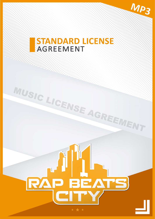

# **STANDARD LICENSE AGREEMENT**

MUSIC LICENSE AGREEMENT

**QUANTITATION CONTINUES** 

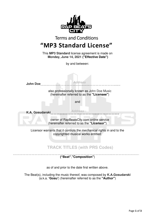

**("Beat"**,**"Composition"**)

as of and prior to the date first written above.

The Beat(s), including the music thereof, was composed by **K.A.Gosudarski**  (a.k.a. **'Gosu'**) (hereinafter referred to as the **"Author"**)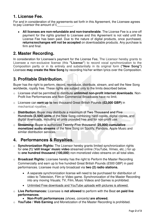### **1. License Fee.**

For and in consideration of the agreements set forth in this Agreement, the Licensee agrees to pay Licensor the amount of  $E$ 

• **All licenses are non-refundable and non-transferable**. The License Fee is a one-off payment for the rights granted to Licensee and this Agreement is not valid until the License Fee has been paid. Due to the nature of digital products, once purchased, **returns/exchanges will not be accepted** on downloadable products. Any purchase is firm and final.

### **2. Master Recording.**

In consideration for Licensee's payment for the License Fee, The Licensor hereby grants to Licensee a non-exclusive license (this **"License"**) to record vocal synchronization to the Composition partly or in its entirety and substantially in its original form **("New Song")**  Licensee **may create the New Song** by recording his/her written lyrics over the Composition.

## **3. Profitable Distribution.**

Buyer has the right to perform, record, reproduce, distribute, stream, and sell the New Song worldwide, royalty free. These rights are subject only to the limits described below.

- o Licensee shall be permitted to distribute **unlimited non-profit internet downloads**. Non-Profit live Performances and Non-Commercial Broadcasts have no limit.
- o Licensee can **earn up to** two thousand Great British Pounds **(£2,000 GBP)** in mechanical royalties.
- o **Distribution**: Buyer may distribute a maximum of **Two Thousand and Five Hundreds (2,500) units** of the New Song combining hard copies, digital copies, and digital downloads, including all units provided free and for non-profit use.
- o **Streaming:** Buyer is authorized **Twenty-Five thousand** (**25,000) cumulative monetized audio streams** of the New Song on Spotify, Pandora, Apple Music and similar distribution services.

## **4. Performances & Royalties.**

- o **Synchronization Rights:** The Licensor hereby grants limited synchronization rights for **one (1) 'still Image' music video** streamed online (YouTube, Vimeo, etc..) for up to **one hundred thousand (100,000)** non-monetized video streams on all total sites.
- o **Broadcast Rights:** Licensee hereby has the right to Perform the Master Recording Commercially and earn up to five hundred Great British Pounds (£500 GBP) in paid performances. Licensee must only broadcast via **two (2) radio stations.**
	- A separate synchronization license will need to be purchased for distribution of video to Television, Film or Video game. Synchronization of the Master Recording into any moving Visuals; TV, Film, Music Videos and Games is prohibited.
	- Unlimited Free downloads and YouTube uploads with pictures is allowed.
- o **Live Performances:** Licensee is **not allowed** to perform with the Beat **on paid live performances**.
	- **Non-Profit performances** (shows, concerts) **are allowed.**
- o **YouTube / Web Earning** and Monetization of the Master Recording is prohibited.